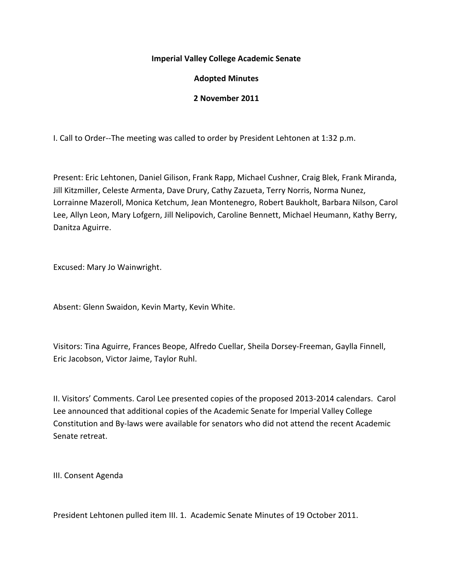## **Imperial Valley College Academic Senate**

# **Adopted Minutes**

## **2 November 2011**

I. Call to Order--The meeting was called to order by President Lehtonen at 1:32 p.m.

Present: Eric Lehtonen, Daniel Gilison, Frank Rapp, Michael Cushner, Craig Blek, Frank Miranda, Jill Kitzmiller, Celeste Armenta, Dave Drury, Cathy Zazueta, Terry Norris, Norma Nunez, Lorrainne Mazeroll, Monica Ketchum, Jean Montenegro, Robert Baukholt, Barbara Nilson, Carol Lee, Allyn Leon, Mary Lofgern, Jill Nelipovich, Caroline Bennett, Michael Heumann, Kathy Berry, Danitza Aguirre.

Excused: Mary Jo Wainwright.

Absent: Glenn Swaidon, Kevin Marty, Kevin White.

Visitors: Tina Aguirre, Frances Beope, Alfredo Cuellar, Sheila Dorsey-Freeman, Gaylla Finnell, Eric Jacobson, Victor Jaime, Taylor Ruhl.

II. Visitors' Comments. Carol Lee presented copies of the proposed 2013-2014 calendars. Carol Lee announced that additional copies of the Academic Senate for Imperial Valley College Constitution and By-laws were available for senators who did not attend the recent Academic Senate retreat.

III. Consent Agenda

President Lehtonen pulled item III. 1. Academic Senate Minutes of 19 October 2011.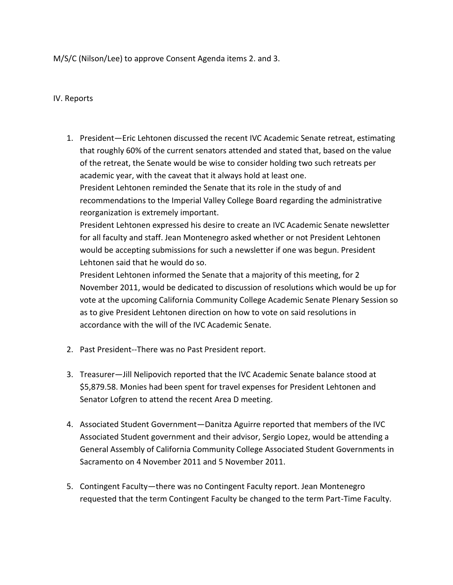M/S/C (Nilson/Lee) to approve Consent Agenda items 2. and 3.

#### IV. Reports

1. President—Eric Lehtonen discussed the recent IVC Academic Senate retreat, estimating that roughly 60% of the current senators attended and stated that, based on the value of the retreat, the Senate would be wise to consider holding two such retreats per academic year, with the caveat that it always hold at least one. President Lehtonen reminded the Senate that its role in the study of and recommendations to the Imperial Valley College Board regarding the administrative reorganization is extremely important.

President Lehtonen expressed his desire to create an IVC Academic Senate newsletter for all faculty and staff. Jean Montenegro asked whether or not President Lehtonen would be accepting submissions for such a newsletter if one was begun. President Lehtonen said that he would do so.

President Lehtonen informed the Senate that a majority of this meeting, for 2 November 2011, would be dedicated to discussion of resolutions which would be up for vote at the upcoming California Community College Academic Senate Plenary Session so as to give President Lehtonen direction on how to vote on said resolutions in accordance with the will of the IVC Academic Senate.

- 2. Past President--There was no Past President report.
- 3. Treasurer—Jill Nelipovich reported that the IVC Academic Senate balance stood at \$5,879.58. Monies had been spent for travel expenses for President Lehtonen and Senator Lofgren to attend the recent Area D meeting.
- 4. Associated Student Government—Danitza Aguirre reported that members of the IVC Associated Student government and their advisor, Sergio Lopez, would be attending a General Assembly of California Community College Associated Student Governments in Sacramento on 4 November 2011 and 5 November 2011.
- 5. Contingent Faculty—there was no Contingent Faculty report. Jean Montenegro requested that the term Contingent Faculty be changed to the term Part-Time Faculty.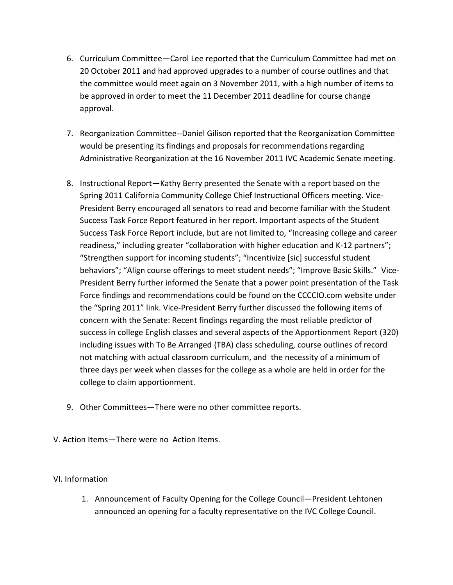- 6. Curriculum Committee—Carol Lee reported that the Curriculum Committee had met on 20 October 2011 and had approved upgrades to a number of course outlines and that the committee would meet again on 3 November 2011, with a high number of items to be approved in order to meet the 11 December 2011 deadline for course change approval.
- 7. Reorganization Committee--Daniel Gilison reported that the Reorganization Committee would be presenting its findings and proposals for recommendations regarding Administrative Reorganization at the 16 November 2011 IVC Academic Senate meeting.
- 8. Instructional Report—Kathy Berry presented the Senate with a report based on the Spring 2011 California Community College Chief Instructional Officers meeting. Vice-President Berry encouraged all senators to read and become familiar with the Student Success Task Force Report featured in her report. Important aspects of the Student Success Task Force Report include, but are not limited to, "Increasing college and career readiness," including greater "collaboration with higher education and K-12 partners"; "Strengthen support for incoming students"; "Incentivize [sic] successful student behaviors"; "Align course offerings to meet student needs"; "Improve Basic Skills." Vice-President Berry further informed the Senate that a power point presentation of the Task Force findings and recommendations could be found on the CCCCIO.com website under the "Spring 2011" link. Vice-President Berry further discussed the following items of concern with the Senate: Recent findings regarding the most reliable predictor of success in college English classes and several aspects of the Apportionment Report (320) including issues with To Be Arranged (TBA) class scheduling, course outlines of record not matching with actual classroom curriculum, and the necessity of a minimum of three days per week when classes for the college as a whole are held in order for the college to claim apportionment.
- 9. Other Committees—There were no other committee reports.
- V. Action Items—There were no Action Items.

## VI. Information

1. Announcement of Faculty Opening for the College Council—President Lehtonen announced an opening for a faculty representative on the IVC College Council.